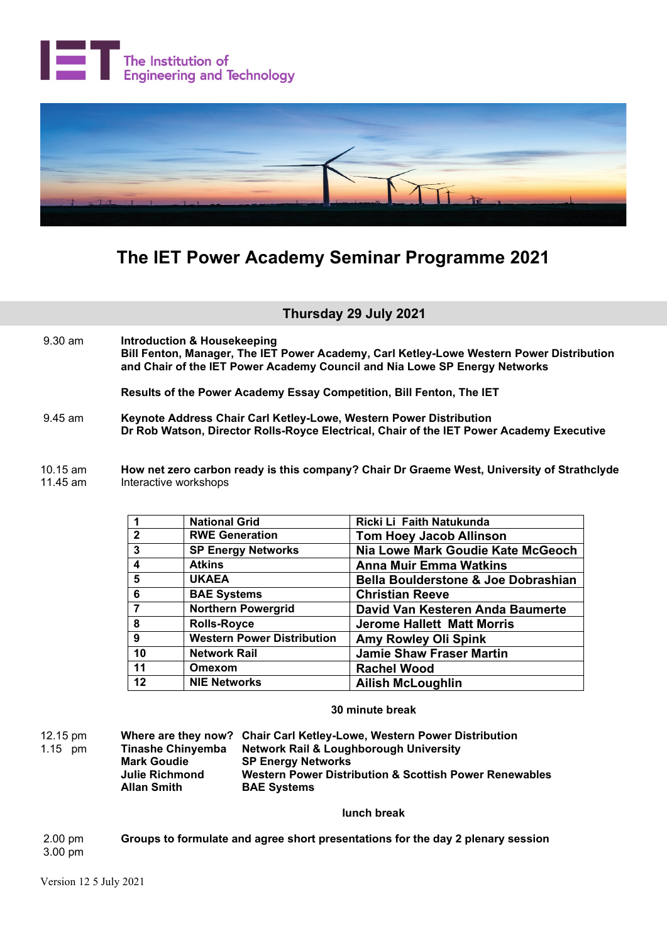



## **The IET Power Academy Seminar Programme 2021**

**Thursday 29 July 2021**

 9.30 am **Introduction & Housekeeping Bill Fenton, Manager, The IET Power Academy, Carl Ketley-Lowe Western Power Distribution and Chair of the IET Power Academy Council and Nia Lowe SP Energy Networks**

**Results of the Power Academy Essay Competition, Bill Fenton, The IET**

- 9.45 am **Keynote Address Chair Carl Ketley-Lowe, Western Power Distribution Dr Rob Watson, Director Rolls-Royce Electrical, Chair of the IET Power Academy Executive**
- 10.15 am **How net zero carbon ready is this company? Chair Dr Graeme West, University of Strathclyde** Interactive workshops

|                | <b>National Grid</b>              | Ricki Li Faith Natukunda                       |
|----------------|-----------------------------------|------------------------------------------------|
| $\overline{2}$ | <b>RWE Generation</b>             | <b>Tom Hoey Jacob Allinson</b>                 |
| 3              | <b>SP Energy Networks</b>         | Nia Lowe Mark Goudie Kate McGeoch              |
| 4              | <b>Atkins</b>                     | <b>Anna Muir Emma Watkins</b>                  |
| 5              | <b>UKAEA</b>                      | <b>Bella Boulderstone &amp; Joe Dobrashian</b> |
| 6              | <b>BAE Systems</b>                | <b>Christian Reeve</b>                         |
|                | Northern Powergrid                | David Van Kesteren Anda Baumerte               |
| 8              | <b>Rolls-Royce</b>                | <b>Jerome Hallett Matt Morris</b>              |
| 9              | <b>Western Power Distribution</b> | <b>Amy Rowley Oli Spink</b>                    |
| 10             | <b>Network Rail</b>               | <b>Jamie Shaw Fraser Martin</b>                |
| 11             | Omexom                            | <b>Rachel Wood</b>                             |
| 12             | <b>NIE Networks</b>               | <b>Ailish McLoughlin</b>                       |

## **30 minute break**

12.15 pm **Where are they now? Chair Carl Ketley-Lowe, Western Power Distribution Network Rail & Loughborough University Mark Goudie SP Energy Networks<br>
Julie Richmond Western Power District Julie Richmond Western Power Distribution & Scottish Power Renewables BAE Systems** 

**lunch break**

2.00 pm **Groups to formulate and agree short presentations for the day 2 plenary session** 3.00 pm